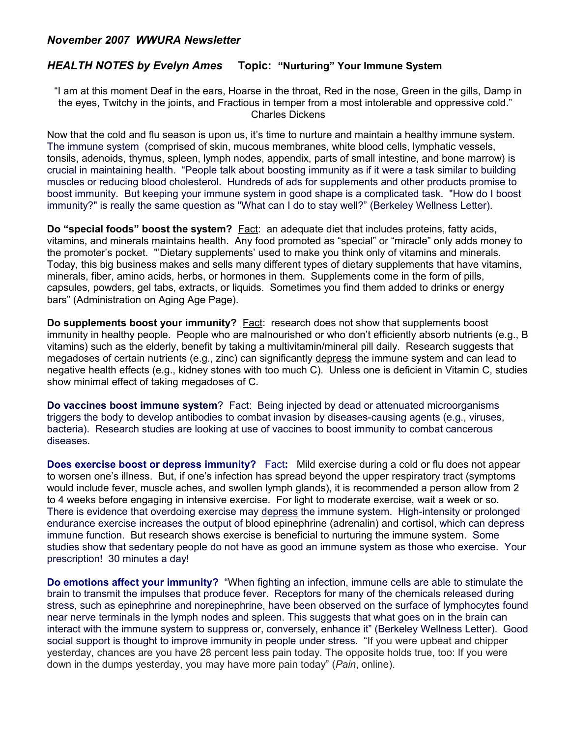## *November 2007 WWURA Newsletter*

## *HEALTH NOTES by Evelyn Ames* **Topic: "Nurturing" Your Immune System**

"I am at this moment Deaf in the ears, Hoarse in the throat, Red in the nose, Green in the gills, Damp in the eyes, Twitchy in the joints, and Fractious in temper from a most intolerable and oppressive cold." Charles Dickens

Now that the cold and flu season is upon us, it's time to nurture and maintain a healthy immune system. The immune system (comprised of skin, mucous membranes, white blood cells, lymphatic vessels, tonsils, adenoids, thymus, spleen, lymph nodes, appendix, parts of small intestine, and bone marrow) is crucial in maintaining health. "People talk about boosting immunity as if it were a task similar to building muscles or reducing blood cholesterol. Hundreds of ads for supplements and other products promise to boost immunity. But keeping your immune system in good shape is a complicated task. "How do I boost immunity?" is really the same question as "What can I do to stay well?" (Berkeley Wellness Letter).

**Do "special foods" boost the system?** Fact: an adequate diet that includes proteins, fatty acids, vitamins, and minerals maintains health. Any food promoted as "special" or "miracle" only adds money to the promoter's pocket."'Dietary supplements' used to make you think only of vitamins and minerals. Today, this big business makes and sells many different types of dietary supplements that have vitamins, minerals, fiber, amino acids, herbs, or hormones in them. Supplements come in the form of pills, capsules, powders, gel tabs, extracts, or liquids. Sometimes you find them added to drinks or energy bars" (Administration on Aging Age Page).

**Do supplements boost your immunity?** Fact: research does not show that supplements boost immunity in healthy people. People who are malnourished or who don't efficiently absorb nutrients (e.g., B vitamins) such as the elderly, benefit by taking a multivitamin/mineral pill daily. Research suggests that megadoses of certain nutrients (e.g., zinc) can significantly depress the immune system and can lead to negative health effects (e.g., kidney stones with too much C). Unless one is deficient in Vitamin C, studies show minimal effect of taking megadoses of C.

**Do vaccines boost immune system**? Fact: Being injected by dead or attenuated microorganisms triggers the body to develop antibodies to combat invasion by diseases-causing agents (e.g., viruses, bacteria). Research studies are looking at use of vaccines to boost immunity to combat cancerous diseases.

**Does exercise boost or depress immunity?** Fact: Mild exercise during a cold or flu does not appear to worsen one's illness. But, if one's infection has spread beyond the upper respiratory tract (symptoms would include fever, muscle aches, and swollen lymph glands), it is recommended a person allow from 2 to 4 weeks before engaging in intensive exercise. For light to moderate exercise, wait a week or so. There is evidence that overdoing exercise may depress the immune system. High-intensity or prolonged endurance exercise increases the output of blood epinephrine (adrenalin) and cortisol, which can depress immune function. But research shows exercise is beneficial to nurturing the immune system. Some studies show that sedentary people do not have as good an immune system as those who exercise. Your prescription! 30 minutes a day!

**Do emotions affect your immunity?** "When fighting an infection, immune cells are able to stimulate the brain to transmit the impulses that produce fever. Receptors for many of the chemicals released during stress, such as epinephrine and norepinephrine, have been observed on the surface of lymphocytes found near nerve terminals in the lymph nodes and spleen. This suggests that what goes on in the brain can interact with the immune system to suppress or, conversely, enhance it" (Berkeley Wellness Letter). Good social support is thought to improve immunity in people under stress. "If you were upbeat and chipper yesterday, chances are you have 28 percent less pain today. The opposite holds true, too: If you were down in the dumps yesterday, you may have more pain today" (*Pain*, online).